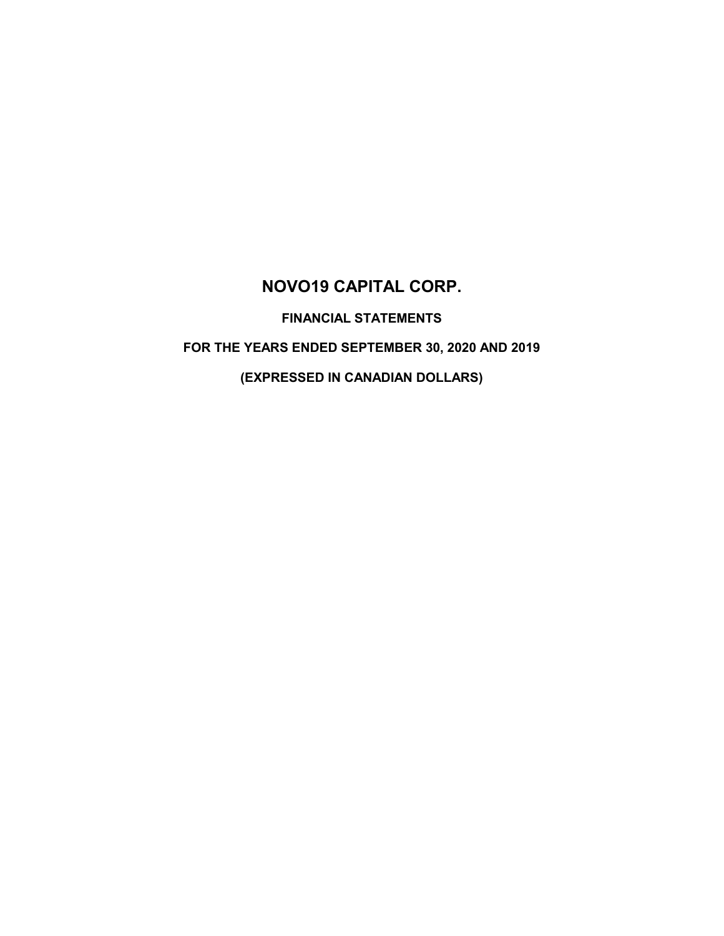# **NOVO19 CAPITAL CORP.**

**FINANCIAL STATEMENTS**

# **FOR THE YEARS ENDED SEPTEMBER 30, 2020 AND 2019**

**(EXPRESSED IN CANADIAN DOLLARS)**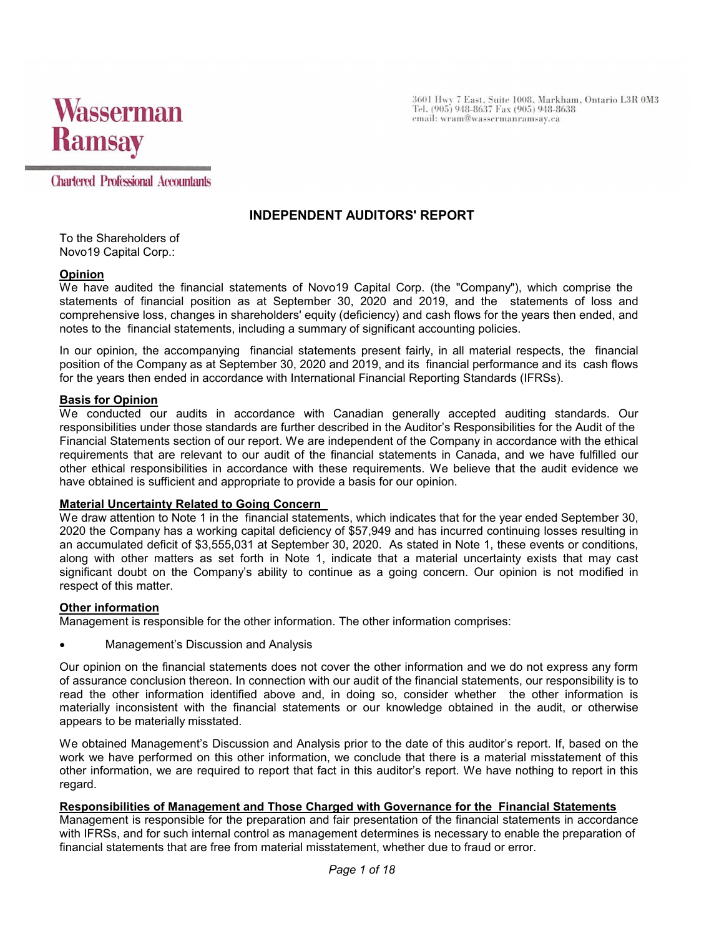

3601 Hwy 7 East, Suite 1008, Markham, Ontario L3R 0M3<br>Tel. (905) 948-8637 Fax (905) 948-8638 email: wram@wassermanramsay.ca

**Chartered Professional Accountants** 

# **INDEPENDENT AUDITORS' REPORT**

To the Shareholders of Novo19 Capital Corp.:

#### **Opinion**

We have audited the financial statements of Novo19 Capital Corp. (the "Company"), which comprise the statements of financial position as at September 30, 2020 and 2019, and the statements of loss and comprehensive loss, changes in shareholders' equity (deficiency) and cash flows for the years then ended, and notes to the financial statements, including a summary of significant accounting policies.

In our opinion, the accompanying financial statements present fairly, in all material respects, the financial position of the Company as at September 30, 2020 and 2019, and its financial performance and its cash flows for the years then ended in accordance with International Financial Reporting Standards (IFRSs).

#### **Basis for Opinion**

We conducted our audits in accordance with Canadian generally accepted auditing standards. Our responsibilities under those standards are further described in the Auditor's Responsibilities for the Audit of the Financial Statements section of our report. We are independent of the Company in accordance with the ethical requirements that are relevant to our audit of the financial statements in Canada, and we have fulfilled our other ethical responsibilities in accordance with these requirements. We believe that the audit evidence we have obtained is sufficient and appropriate to provide a basis for our opinion.

### **Material Uncertainty Related to Going Concern**

We draw attention to Note 1 in the financial statements, which indicates that for the year ended September 30, 2020 the Company has a working capital deficiency of \$57,949 and has incurred continuing losses resulting in an accumulated deficit of \$3,555,031 at September 30, 2020. As stated in Note 1, these events or conditions, along with other matters as set forth in Note 1, indicate that a material uncertainty exists that may cast significant doubt on the Company's ability to continue as a going concern. Our opinion is not modified in respect of this matter.

#### **Other information**

Management is responsible for the other information. The other information comprises:

Management's Discussion and Analysis

Our opinion on the financial statements does not cover the other information and we do not express any form of assurance conclusion thereon. In connection with our audit of the financial statements, our responsibility is to read the other information identified above and, in doing so, consider whether the other information is materially inconsistent with the financial statements or our knowledge obtained in the audit, or otherwise appears to be materially misstated.

We obtained Management's Discussion and Analysis prior to the date of this auditor's report. If, based on the work we have performed on this other information, we conclude that there is a material misstatement of this other information, we are required to report that fact in this auditor's report. We have nothing to report in this regard.

### **Responsibilities of Management and Those Charged with Governance for the Financial Statements**

Management is responsible for the preparation and fair presentation of the financial statements in accordance with IFRSs, and for such internal control as management determines is necessary to enable the preparation of financial statements that are free from material misstatement, whether due to fraud or error.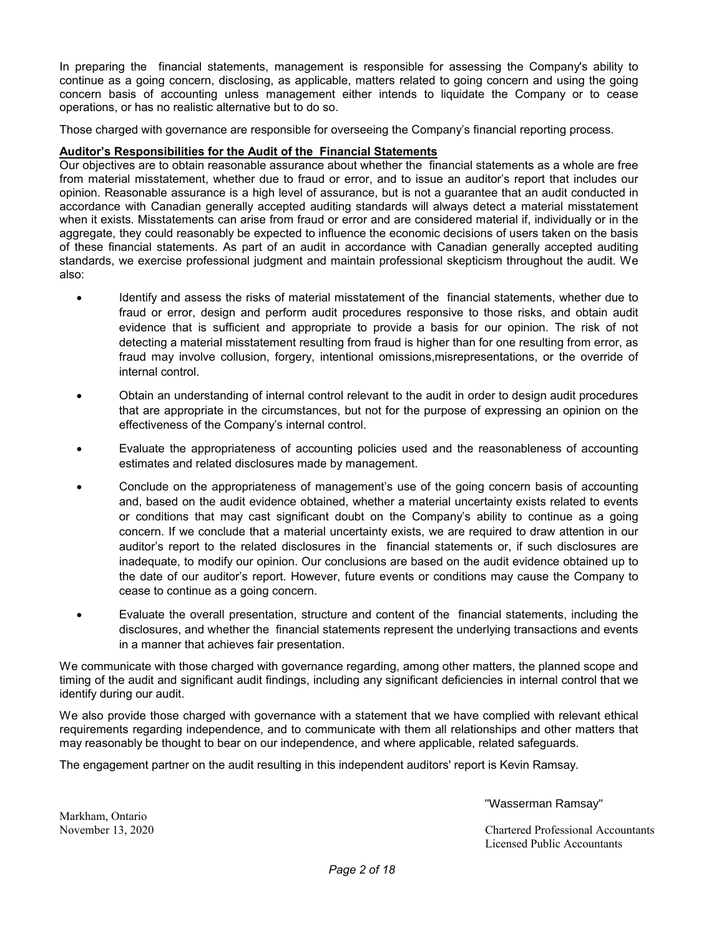In preparing the financial statements, management is responsible for assessing the Company's ability to continue as a going concern, disclosing, as applicable, matters related to going concern and using the going concern basis of accounting unless management either intends to liquidate the Company or to cease operations, or has no realistic alternative but to do so.

Those charged with governance are responsible for overseeing the Company's financial reporting process.

### **Auditor's Responsibilities for the Audit of the Financial Statements**

Our objectives are to obtain reasonable assurance about whether the financial statements as a whole are free from material misstatement, whether due to fraud or error, and to issue an auditor's report that includes our opinion. Reasonable assurance is a high level of assurance, but is not a guarantee that an audit conducted in accordance with Canadian generally accepted auditing standards will always detect a material misstatement when it exists. Misstatements can arise from fraud or error and are considered material if, individually or in the aggregate, they could reasonably be expected to influence the economic decisions of users taken on the basis of these financial statements. As part of an audit in accordance with Canadian generally accepted auditing standards, we exercise professional judgment and maintain professional skepticism throughout the audit. We also:

- Identify and assess the risks of material misstatement of the financial statements, whether due to fraud or error, design and perform audit procedures responsive to those risks, and obtain audit evidence that is sufficient and appropriate to provide a basis for our opinion. The risk of not detecting a material misstatement resulting from fraud is higher than for one resulting from error, as fraud may involve collusion, forgery, intentional omissions,misrepresentations, or the override of internal control.
- Obtain an understanding of internal control relevant to the audit in order to design audit procedures that are appropriate in the circumstances, but not for the purpose of expressing an opinion on the effectiveness of the Company's internal control.
- Evaluate the appropriateness of accounting policies used and the reasonableness of accounting estimates and related disclosures made by management.
- Conclude on the appropriateness of management's use of the going concern basis of accounting and, based on the audit evidence obtained, whether a material uncertainty exists related to events or conditions that may cast significant doubt on the Company's ability to continue as a going concern. If we conclude that a material uncertainty exists, we are required to draw attention in our auditor's report to the related disclosures in the financial statements or, if such disclosures are inadequate, to modify our opinion. Our conclusions are based on the audit evidence obtained up to the date of our auditor's report. However, future events or conditions may cause the Company to cease to continue as a going concern.
- Evaluate the overall presentation, structure and content of the financial statements, including the disclosures, and whether the financial statements represent the underlying transactions and events in a manner that achieves fair presentation.

We communicate with those charged with governance regarding, among other matters, the planned scope and timing of the audit and significant audit findings, including any significant deficiencies in internal control that we identify during our audit.

We also provide those charged with governance with a statement that we have complied with relevant ethical requirements regarding independence, and to communicate with them all relationships and other matters that may reasonably be thought to bear on our independence, and where applicable, related safeguards.

The engagement partner on the audit resulting in this independent auditors' report is Kevin Ramsay.

"Wasserman Ramsay"

November 13, 2020 Chartered Professional Accountants Licensed Public Accountants

Markham, Ontario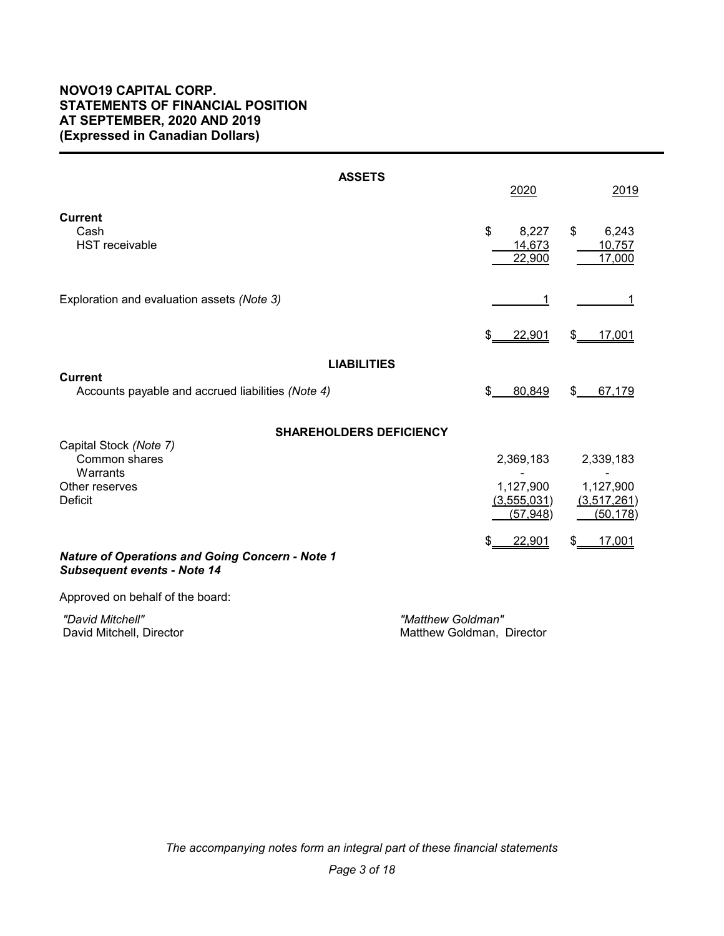# **NOVO19 CAPITAL CORP. STATEMENTS OF FINANCIAL POSITION AT SEPTEMBER, 2020 AND 2019 (Expressed in Canadian Dollars)**

| <b>ASSETS</b>                                                                                | 2020                                               | 2019                                               |
|----------------------------------------------------------------------------------------------|----------------------------------------------------|----------------------------------------------------|
| <b>Current</b><br>Cash<br><b>HST</b> receivable                                              | \$<br>8,227<br>14,673<br>22,900                    | \$<br>6,243<br>10,757<br>17,000                    |
| Exploration and evaluation assets (Note 3)                                                   | 1                                                  |                                                    |
|                                                                                              | 22,901<br>\$                                       | 17,001<br>S                                        |
| <b>LIABILITIES</b>                                                                           |                                                    |                                                    |
| <b>Current</b><br>Accounts payable and accrued liabilities (Note 4)                          | \$<br>80,849                                       | \$<br>67,179                                       |
| <b>SHAREHOLDERS DEFICIENCY</b>                                                               |                                                    |                                                    |
| Capital Stock (Note 7)<br>Common shares<br>Warrants<br>Other reserves<br>Deficit             | 2,369,183<br>1,127,900<br>(3,555,031)<br>(57, 948) | 2,339,183<br>1,127,900<br>(3,517,261)<br>(50, 178) |
| <b>Nature of Operations and Going Concern - Note 1</b><br><b>Subsequent events - Note 14</b> | 22,901<br>\$                                       | 17,001<br>S                                        |
| Approved on behalf of the board:                                                             |                                                    |                                                    |
| "David Mitchell"<br>David Mitchell, Director                                                 | "Matthew Goldman"<br>Matthew Goldman, Director     |                                                    |

*The accompanying notes form an integral part of these financial statements*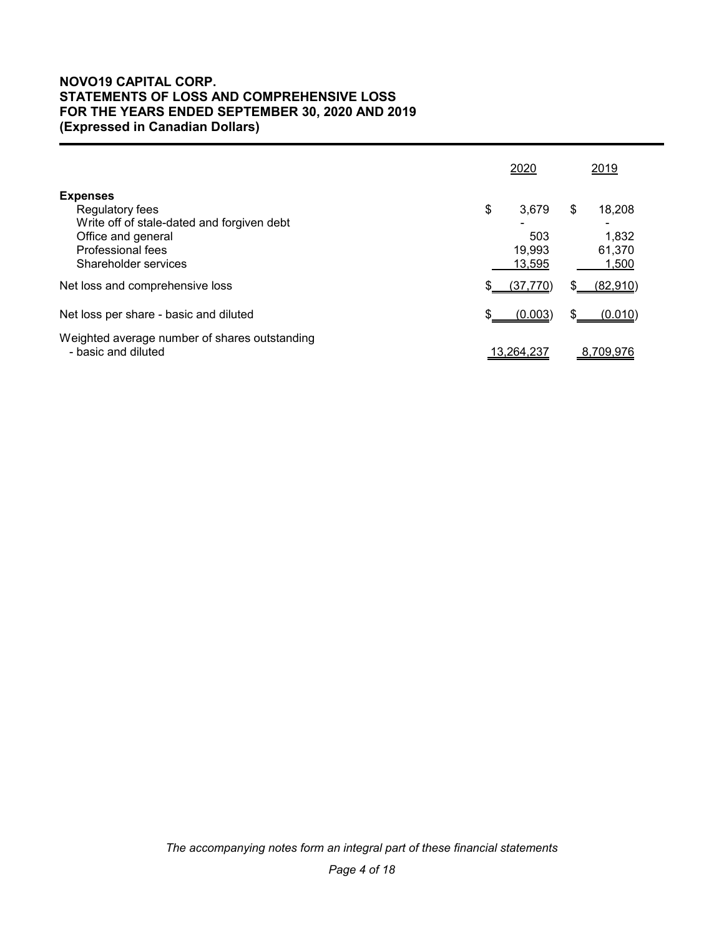# **NOVO19 CAPITAL CORP. STATEMENTS OF LOSS AND COMPREHENSIVE LOSS FOR THE YEARS ENDED SEPTEMBER 30, 2020 AND 2019 (Expressed in Canadian Dollars)**

|                                                                                                                                                     |     | 2020                             |    | 2019                               |
|-----------------------------------------------------------------------------------------------------------------------------------------------------|-----|----------------------------------|----|------------------------------------|
| <b>Expenses</b><br>Regulatory fees<br>Write off of stale-dated and forgiven debt<br>Office and general<br>Professional fees<br>Shareholder services | \$  | 3.679<br>503<br>19.993<br>13,595 | \$ | 18,208<br>1,832<br>61.370<br>1,500 |
| Net loss and comprehensive loss                                                                                                                     | \$. | (37,770)                         | S  | (82,910)                           |
| Net loss per share - basic and diluted                                                                                                              |     | (0.003)                          |    | (0.010)                            |
| Weighted average number of shares outstanding<br>- basic and diluted                                                                                |     | 13,264,237                       |    | 8,709,976                          |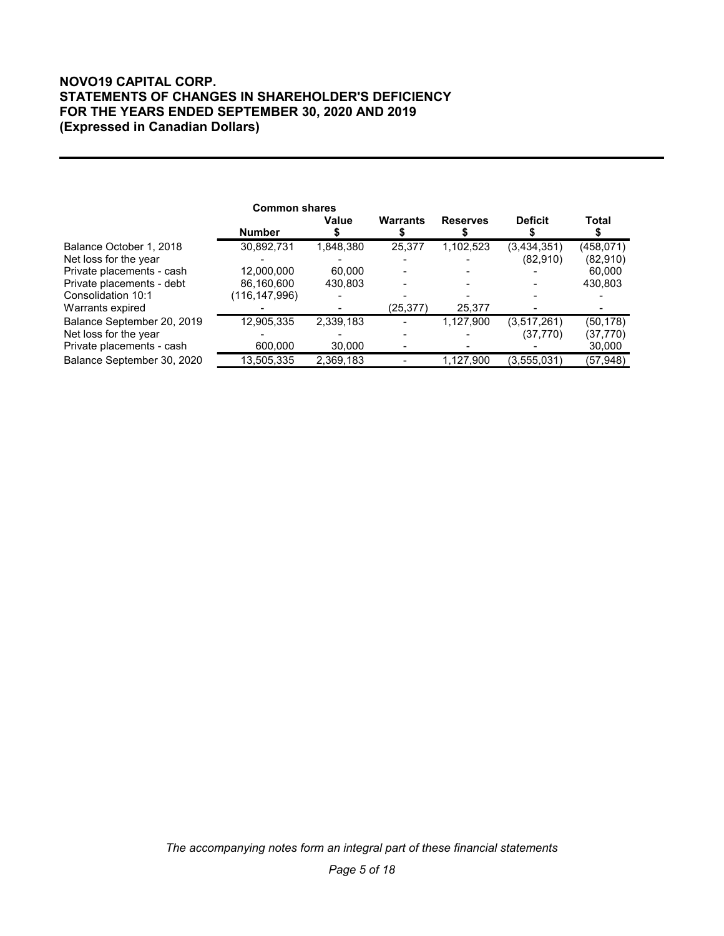# **NOVO19 CAPITAL CORP. STATEMENTS OF CHANGES IN SHAREHOLDER'S DEFICIENCY FOR THE YEARS ENDED SEPTEMBER 30, 2020 AND 2019 (Expressed in Canadian Dollars)**

|                            | <b>Common shares</b> |           |           |                 |                |              |
|----------------------------|----------------------|-----------|-----------|-----------------|----------------|--------------|
|                            | <b>Number</b>        | Value     | Warrants  | <b>Reserves</b> | <b>Deficit</b> | <b>Total</b> |
| Balance October 1, 2018    | 30,892,731           | 1,848,380 | 25,377    | 1,102,523       | (3,434,351)    | (458,071)    |
| Net loss for the year      |                      |           |           |                 | (82,910)       | (82,910)     |
| Private placements - cash  | 12,000,000           | 60,000    |           |                 |                | 60,000       |
| Private placements - debt  | 86,160,600           | 430.803   |           |                 |                | 430,803      |
| Consolidation 10:1         | (116,147,996)        |           |           |                 |                |              |
| Warrants expired           |                      |           | (25, 377) | 25,377          |                |              |
| Balance September 20, 2019 | 12,905,335           | 2,339,183 |           | 1,127,900       | (3,517,261)    | (50,178)     |
| Net loss for the year      |                      |           |           |                 | (37,770)       | (37,770)     |
| Private placements - cash  | 600,000              | 30,000    |           |                 |                | 30,000       |
| Balance September 30, 2020 | 13,505,335           | 2,369,183 |           | 1,127,900       | (3,555,031)    | (57, 948)    |

*The accompanying notes form an integral part of these financial statements*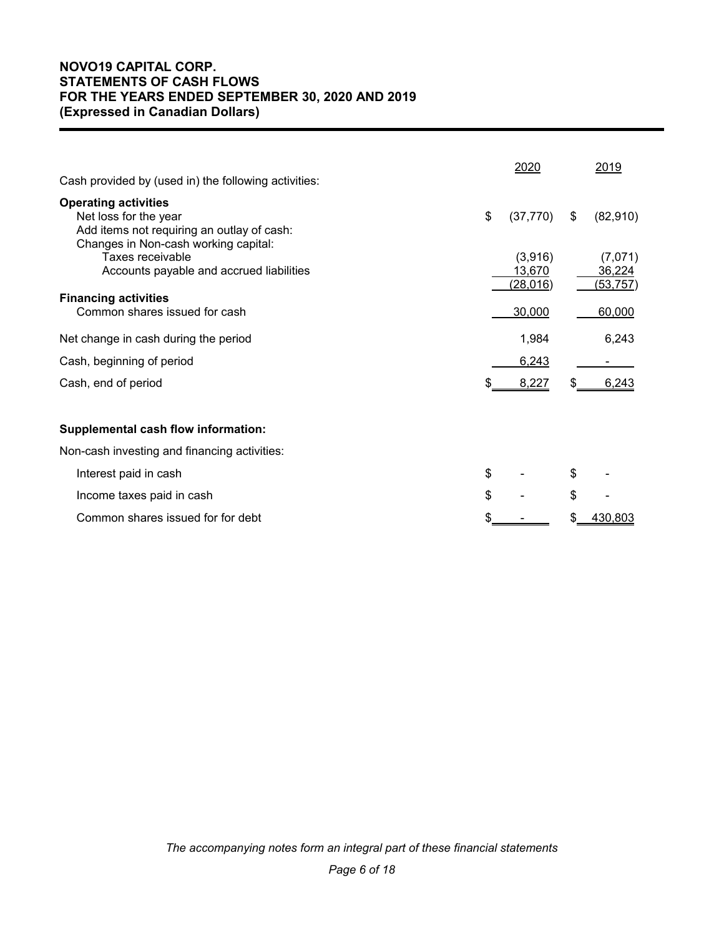# **NOVO19 CAPITAL CORP. STATEMENTS OF CASH FLOWS FOR THE YEARS ENDED SEPTEMBER 30, 2020 AND 2019 (Expressed in Canadian Dollars)**

| Cash provided by (used in) the following activities:                                                                                       | 2020                           |    | 2019                           |
|--------------------------------------------------------------------------------------------------------------------------------------------|--------------------------------|----|--------------------------------|
| <b>Operating activities</b><br>Net loss for the year<br>Add items not requiring an outlay of cash:<br>Changes in Non-cash working capital: | \$<br>(37, 770)                | \$ | (82,910)                       |
| Taxes receivable<br>Accounts payable and accrued liabilities                                                                               | (3,916)<br>13,670<br>(28, 016) |    | (7,071)<br>36,224<br>(53, 757) |
| <b>Financing activities</b><br>Common shares issued for cash                                                                               | 30,000                         |    | 60,000                         |
| Net change in cash during the period                                                                                                       | 1,984                          |    | 6,243                          |
| Cash, beginning of period                                                                                                                  | 6,243                          |    |                                |
| Cash, end of period                                                                                                                        | 8,227                          | SS | 6,243                          |
| <b>Supplemental cash flow information:</b>                                                                                                 |                                |    |                                |
| Non-cash investing and financing activities:                                                                                               |                                |    |                                |
| Interest paid in cash                                                                                                                      | \$                             | \$ |                                |
| Income taxes paid in cash                                                                                                                  | \$                             | \$ |                                |
| Common shares issued for for debt                                                                                                          |                                |    | 430,803                        |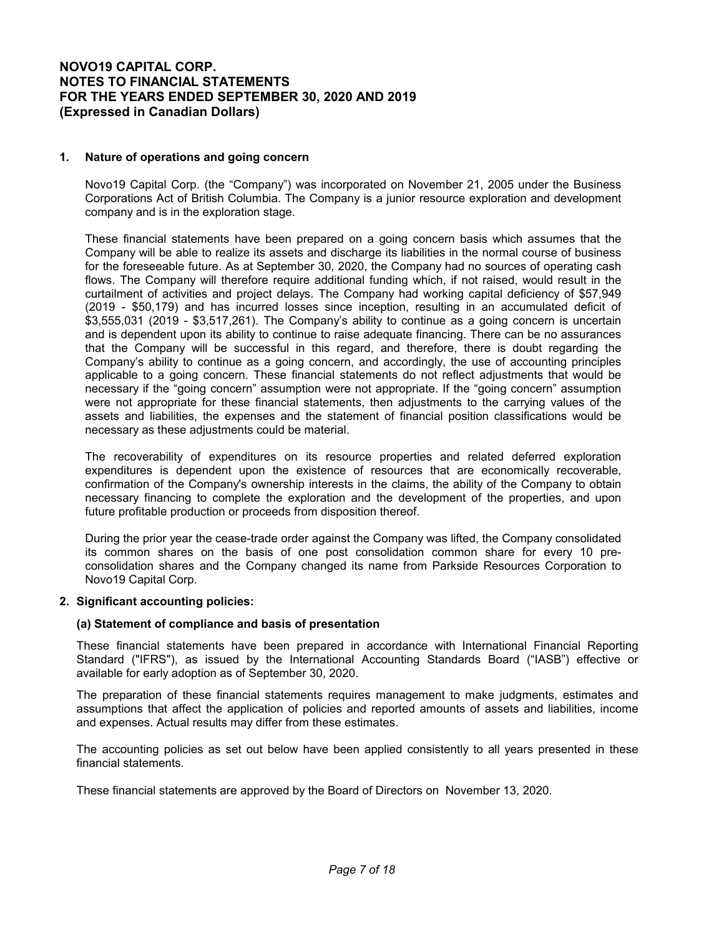### **1. Nature of operations and going concern**

Novo19 Capital Corp. (the "Company") was incorporated on November 21, 2005 under the Business Corporations Act of British Columbia. The Company is a junior resource exploration and development company and is in the exploration stage.

These financial statements have been prepared on a going concern basis which assumes that the Company will be able to realize its assets and discharge its liabilities in the normal course of business for the foreseeable future. As at September 30, 2020, the Company had no sources of operating cash flows. The Company will therefore require additional funding which, if not raised, would result in the curtailment of activities and project delays. The Company had working capital deficiency of \$57,949 (2019 - \$50,179) and has incurred losses since inception, resulting in an accumulated deficit of \$3,555,031 (2019 - \$3,517,261). The Company's ability to continue as a going concern is uncertain and is dependent upon its ability to continue to raise adequate financing. There can be no assurances that the Company will be successful in this regard, and therefore, there is doubt regarding the Company's ability to continue as a going concern, and accordingly, the use of accounting principles applicable to a going concern. These financial statements do not reflect adjustments that would be necessary if the "going concern" assumption were not appropriate. If the "going concern" assumption were not appropriate for these financial statements, then adjustments to the carrying values of the assets and liabilities, the expenses and the statement of financial position classifications would be necessary as these adjustments could be material.

The recoverability of expenditures on its resource properties and related deferred exploration expenditures is dependent upon the existence of resources that are economically recoverable, confirmation of the Company's ownership interests in the claims, the ability of the Company to obtain necessary financing to complete the exploration and the development of the properties, and upon future profitable production or proceeds from disposition thereof.

During the prior year the cease-trade order against the Company was lifted, the Company consolidated its common shares on the basis of one post consolidation common share for every 10 preconsolidation shares and the Company changed its name from Parkside Resources Corporation to Novo19 Capital Corp.

### **2. Significant accounting policies:**

#### **(a) Statement of compliance and basis of presentation**

These financial statements have been prepared in accordance with International Financial Reporting Standard ("IFRS"), as issued by the International Accounting Standards Board ("IASB") effective or available for early adoption as of September 30, 2020.

The preparation of these financial statements requires management to make judgments, estimates and assumptions that affect the application of policies and reported amounts of assets and liabilities, income and expenses. Actual results may differ from these estimates.

The accounting policies as set out below have been applied consistently to all years presented in these financial statements.

These financial statements are approved by the Board of Directors on November 13, 2020.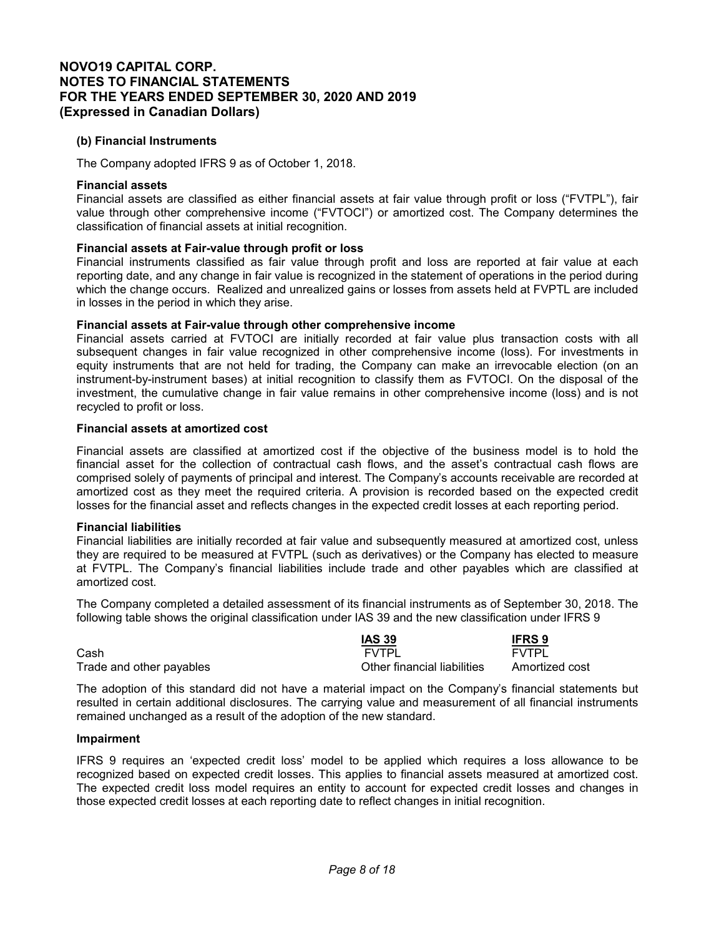### **(b) Financial Instruments**

The Company adopted IFRS 9 as of October 1, 2018.

#### **Financial assets**

Financial assets are classified as either financial assets at fair value through profit or loss ("FVTPL"), fair value through other comprehensive income ("FVTOCI") or amortized cost. The Company determines the classification of financial assets at initial recognition.

### **Financial assets at Fair-value through profit or loss**

Financial instruments classified as fair value through profit and loss are reported at fair value at each reporting date, and any change in fair value is recognized in the statement of operations in the period during which the change occurs. Realized and unrealized gains or losses from assets held at FVPTL are included in losses in the period in which they arise.

### **Financial assets at Fair-value through other comprehensive income**

Financial assets carried at FVTOCI are initially recorded at fair value plus transaction costs with all subsequent changes in fair value recognized in other comprehensive income (loss). For investments in equity instruments that are not held for trading, the Company can make an irrevocable election (on an instrument-by-instrument bases) at initial recognition to classify them as FVTOCI. On the disposal of the investment, the cumulative change in fair value remains in other comprehensive income (loss) and is not recycled to profit or loss.

#### **Financial assets at amortized cost**

Financial assets are classified at amortized cost if the objective of the business model is to hold the financial asset for the collection of contractual cash flows, and the asset's contractual cash flows are comprised solely of payments of principal and interest. The Company's accounts receivable are recorded at amortized cost as they meet the required criteria. A provision is recorded based on the expected credit losses for the financial asset and reflects changes in the expected credit losses at each reporting period.

### **Financial liabilities**

Financial liabilities are initially recorded at fair value and subsequently measured at amortized cost, unless they are required to be measured at FVTPL (such as derivatives) or the Company has elected to measure at FVTPL. The Company's financial liabilities include trade and other payables which are classified at amortized cost.

The Company completed a detailed assessment of its financial instruments as of September 30, 2018. The following table shows the original classification under IAS 39 and the new classification under IFRS 9

|                          | <b>IAS 39</b>               | <b>IFRS 9</b>  |
|--------------------------|-----------------------------|----------------|
| Cash                     | FVTPI                       | <b>FVTPI</b>   |
| Trade and other payables | Other financial liabilities | Amortized cost |

The adoption of this standard did not have a material impact on the Company's financial statements but resulted in certain additional disclosures. The carrying value and measurement of all financial instruments remained unchanged as a result of the adoption of the new standard.

### **Impairment**

IFRS 9 requires an 'expected credit loss' model to be applied which requires a loss allowance to be recognized based on expected credit losses. This applies to financial assets measured at amortized cost. The expected credit loss model requires an entity to account for expected credit losses and changes in those expected credit losses at each reporting date to reflect changes in initial recognition.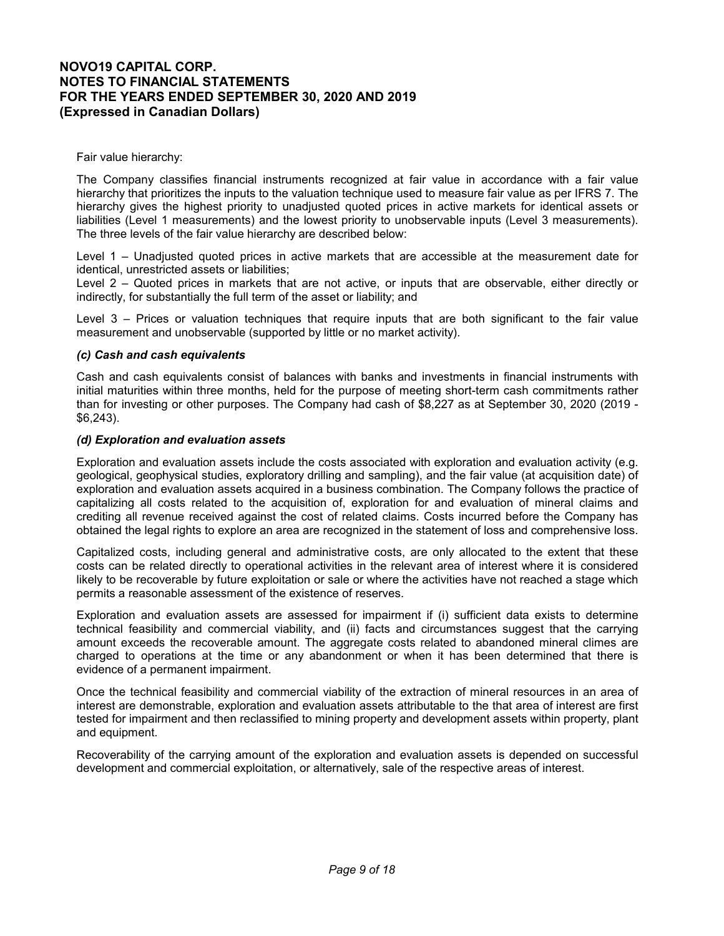### Fair value hierarchy:

The Company classifies financial instruments recognized at fair value in accordance with a fair value hierarchy that prioritizes the inputs to the valuation technique used to measure fair value as per IFRS 7. The hierarchy gives the highest priority to unadjusted quoted prices in active markets for identical assets or liabilities (Level 1 measurements) and the lowest priority to unobservable inputs (Level 3 measurements). The three levels of the fair value hierarchy are described below:

Level 1 – Unadjusted quoted prices in active markets that are accessible at the measurement date for identical, unrestricted assets or liabilities;

Level 2 – Quoted prices in markets that are not active, or inputs that are observable, either directly or indirectly, for substantially the full term of the asset or liability; and

Level 3 – Prices or valuation techniques that require inputs that are both significant to the fair value measurement and unobservable (supported by little or no market activity).

#### *(c) Cash and cash equivalents*

Cash and cash equivalents consist of balances with banks and investments in financial instruments with initial maturities within three months, held for the purpose of meeting short-term cash commitments rather than for investing or other purposes. The Company had cash of \$8,227 as at September 30, 2020 (2019 - \$6,243).

#### *(d) Exploration and evaluation assets*

Exploration and evaluation assets include the costs associated with exploration and evaluation activity (e.g. geological, geophysical studies, exploratory drilling and sampling), and the fair value (at acquisition date) of exploration and evaluation assets acquired in a business combination. The Company follows the practice of capitalizing all costs related to the acquisition of, exploration for and evaluation of mineral claims and crediting all revenue received against the cost of related claims. Costs incurred before the Company has obtained the legal rights to explore an area are recognized in the statement of loss and comprehensive loss.

Capitalized costs, including general and administrative costs, are only allocated to the extent that these costs can be related directly to operational activities in the relevant area of interest where it is considered likely to be recoverable by future exploitation or sale or where the activities have not reached a stage which permits a reasonable assessment of the existence of reserves.

Exploration and evaluation assets are assessed for impairment if (i) sufficient data exists to determine technical feasibility and commercial viability, and (ii) facts and circumstances suggest that the carrying amount exceeds the recoverable amount. The aggregate costs related to abandoned mineral climes are charged to operations at the time or any abandonment or when it has been determined that there is evidence of a permanent impairment.

Once the technical feasibility and commercial viability of the extraction of mineral resources in an area of interest are demonstrable, exploration and evaluation assets attributable to the that area of interest are first tested for impairment and then reclassified to mining property and development assets within property, plant and equipment.

Recoverability of the carrying amount of the exploration and evaluation assets is depended on successful development and commercial exploitation, or alternatively, sale of the respective areas of interest.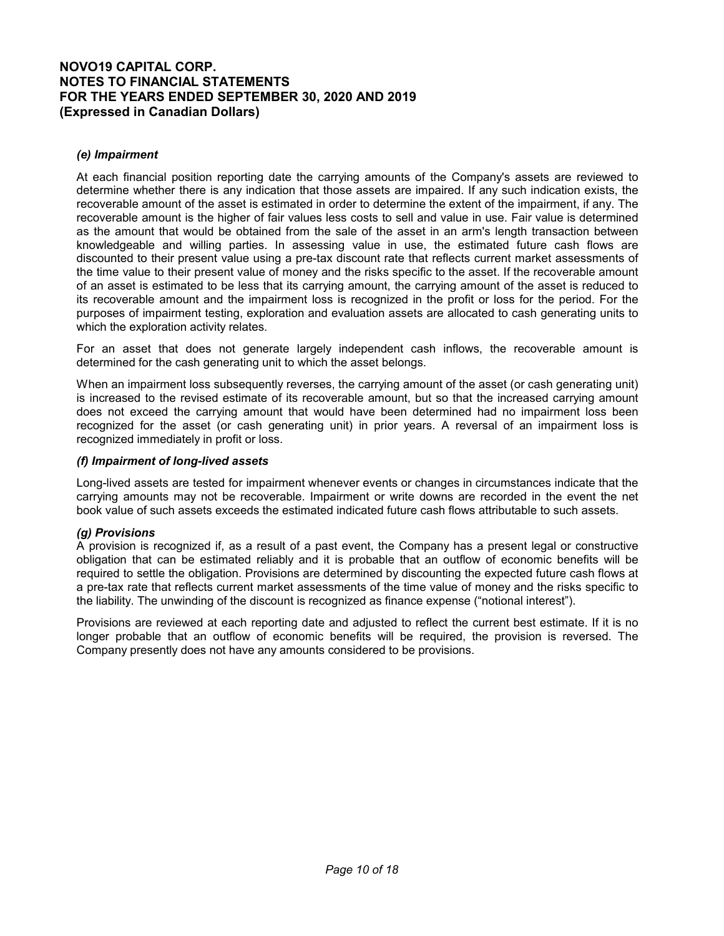### *(e) Impairment*

At each financial position reporting date the carrying amounts of the Company's assets are reviewed to determine whether there is any indication that those assets are impaired. If any such indication exists, the recoverable amount of the asset is estimated in order to determine the extent of the impairment, if any. The recoverable amount is the higher of fair values less costs to sell and value in use. Fair value is determined as the amount that would be obtained from the sale of the asset in an arm's length transaction between knowledgeable and willing parties. In assessing value in use, the estimated future cash flows are discounted to their present value using a pre-tax discount rate that reflects current market assessments of the time value to their present value of money and the risks specific to the asset. If the recoverable amount of an asset is estimated to be less that its carrying amount, the carrying amount of the asset is reduced to its recoverable amount and the impairment loss is recognized in the profit or loss for the period. For the purposes of impairment testing, exploration and evaluation assets are allocated to cash generating units to which the exploration activity relates.

For an asset that does not generate largely independent cash inflows, the recoverable amount is determined for the cash generating unit to which the asset belongs.

When an impairment loss subsequently reverses, the carrying amount of the asset (or cash generating unit) is increased to the revised estimate of its recoverable amount, but so that the increased carrying amount does not exceed the carrying amount that would have been determined had no impairment loss been recognized for the asset (or cash generating unit) in prior years. A reversal of an impairment loss is recognized immediately in profit or loss.

### *(f) Impairment of long-lived assets*

Long-lived assets are tested for impairment whenever events or changes in circumstances indicate that the carrying amounts may not be recoverable. Impairment or write downs are recorded in the event the net book value of such assets exceeds the estimated indicated future cash flows attributable to such assets.

### *(g) Provisions*

A provision is recognized if, as a result of a past event, the Company has a present legal or constructive obligation that can be estimated reliably and it is probable that an outflow of economic benefits will be required to settle the obligation. Provisions are determined by discounting the expected future cash flows at a pre-tax rate that reflects current market assessments of the time value of money and the risks specific to the liability. The unwinding of the discount is recognized as finance expense ("notional interest").

Provisions are reviewed at each reporting date and adjusted to reflect the current best estimate. If it is no longer probable that an outflow of economic benefits will be required, the provision is reversed. The Company presently does not have any amounts considered to be provisions.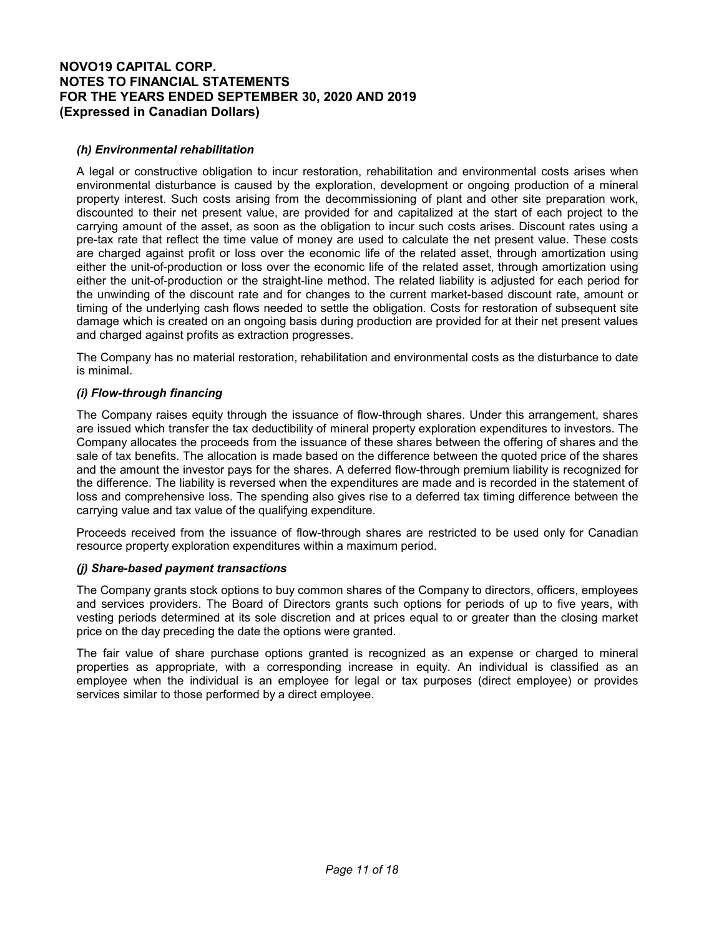## *(h) Environmental rehabilitation*

A legal or constructive obligation to incur restoration, rehabilitation and environmental costs arises when environmental disturbance is caused by the exploration, development or ongoing production of a mineral property interest. Such costs arising from the decommissioning of plant and other site preparation work, discounted to their net present value, are provided for and capitalized at the start of each project to the carrying amount of the asset, as soon as the obligation to incur such costs arises. Discount rates using a pre-tax rate that reflect the time value of money are used to calculate the net present value. These costs are charged against profit or loss over the economic life of the related asset, through amortization using either the unit-of-production or loss over the economic life of the related asset, through amortization using either the unit-of-production or the straight-line method. The related liability is adjusted for each period for the unwinding of the discount rate and for changes to the current market-based discount rate, amount or timing of the underlying cash flows needed to settle the obligation. Costs for restoration of subsequent site damage which is created on an ongoing basis during production are provided for at their net present values and charged against profits as extraction progresses.

The Company has no material restoration, rehabilitation and environmental costs as the disturbance to date is minimal.

### *(i) Flow-through financing*

The Company raises equity through the issuance of flow-through shares. Under this arrangement, shares are issued which transfer the tax deductibility of mineral property exploration expenditures to investors. The Company allocates the proceeds from the issuance of these shares between the offering of shares and the sale of tax benefits. The allocation is made based on the difference between the quoted price of the shares and the amount the investor pays for the shares. A deferred flow-through premium liability is recognized for the difference. The liability is reversed when the expenditures are made and is recorded in the statement of loss and comprehensive loss. The spending also gives rise to a deferred tax timing difference between the carrying value and tax value of the qualifying expenditure.

Proceeds received from the issuance of flow-through shares are restricted to be used only for Canadian resource property exploration expenditures within a maximum period.

### *(j) Share-based payment transactions*

The Company grants stock options to buy common shares of the Company to directors, officers, employees and services providers. The Board of Directors grants such options for periods of up to five years, with vesting periods determined at its sole discretion and at prices equal to or greater than the closing market price on the day preceding the date the options were granted.

The fair value of share purchase options granted is recognized as an expense or charged to mineral properties as appropriate, with a corresponding increase in equity. An individual is classified as an employee when the individual is an employee for legal or tax purposes (direct employee) or provides services similar to those performed by a direct employee.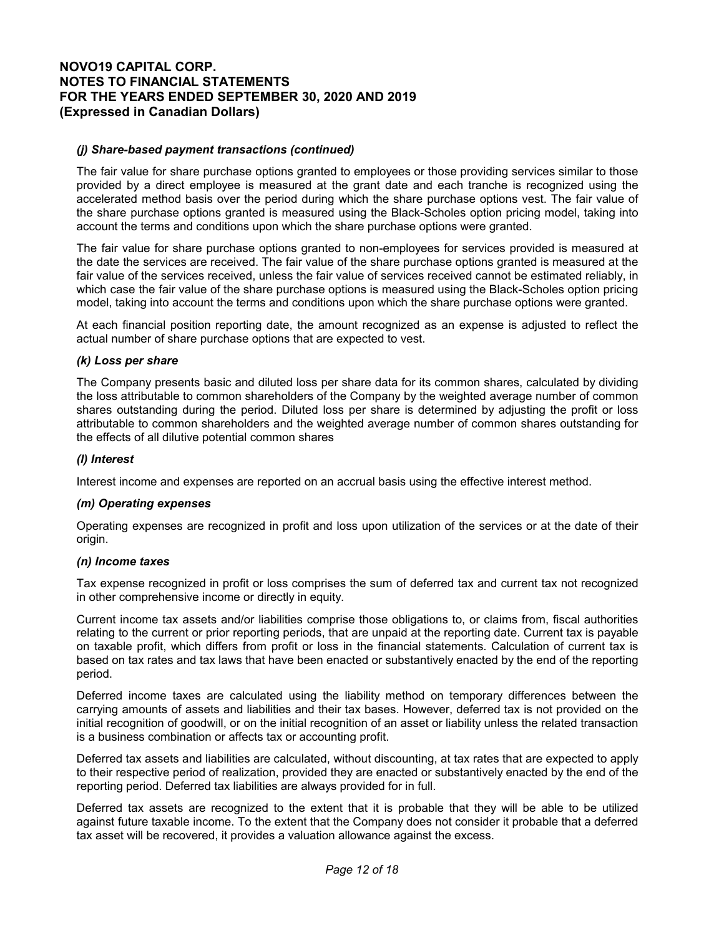### *(j) Share-based payment transactions (continued)*

The fair value for share purchase options granted to employees or those providing services similar to those provided by a direct employee is measured at the grant date and each tranche is recognized using the accelerated method basis over the period during which the share purchase options vest. The fair value of the share purchase options granted is measured using the Black-Scholes option pricing model, taking into account the terms and conditions upon which the share purchase options were granted.

The fair value for share purchase options granted to non-employees for services provided is measured at the date the services are received. The fair value of the share purchase options granted is measured at the fair value of the services received, unless the fair value of services received cannot be estimated reliably, in which case the fair value of the share purchase options is measured using the Black-Scholes option pricing model, taking into account the terms and conditions upon which the share purchase options were granted.

At each financial position reporting date, the amount recognized as an expense is adjusted to reflect the actual number of share purchase options that are expected to vest.

### *(k) Loss per share*

The Company presents basic and diluted loss per share data for its common shares, calculated by dividing the loss attributable to common shareholders of the Company by the weighted average number of common shares outstanding during the period. Diluted loss per share is determined by adjusting the profit or loss attributable to common shareholders and the weighted average number of common shares outstanding for the effects of all dilutive potential common shares

### *(l) Interest*

Interest income and expenses are reported on an accrual basis using the effective interest method.

#### *(m) Operating expenses*

Operating expenses are recognized in profit and loss upon utilization of the services or at the date of their origin.

#### *(n) Income taxes*

Tax expense recognized in profit or loss comprises the sum of deferred tax and current tax not recognized in other comprehensive income or directly in equity.

Current income tax assets and/or liabilities comprise those obligations to, or claims from, fiscal authorities relating to the current or prior reporting periods, that are unpaid at the reporting date. Current tax is payable on taxable profit, which differs from profit or loss in the financial statements. Calculation of current tax is based on tax rates and tax laws that have been enacted or substantively enacted by the end of the reporting period.

Deferred income taxes are calculated using the liability method on temporary differences between the carrying amounts of assets and liabilities and their tax bases. However, deferred tax is not provided on the initial recognition of goodwill, or on the initial recognition of an asset or liability unless the related transaction is a business combination or affects tax or accounting profit.

Deferred tax assets and liabilities are calculated, without discounting, at tax rates that are expected to apply to their respective period of realization, provided they are enacted or substantively enacted by the end of the reporting period. Deferred tax liabilities are always provided for in full.

Deferred tax assets are recognized to the extent that it is probable that they will be able to be utilized against future taxable income. To the extent that the Company does not consider it probable that a deferred tax asset will be recovered, it provides a valuation allowance against the excess.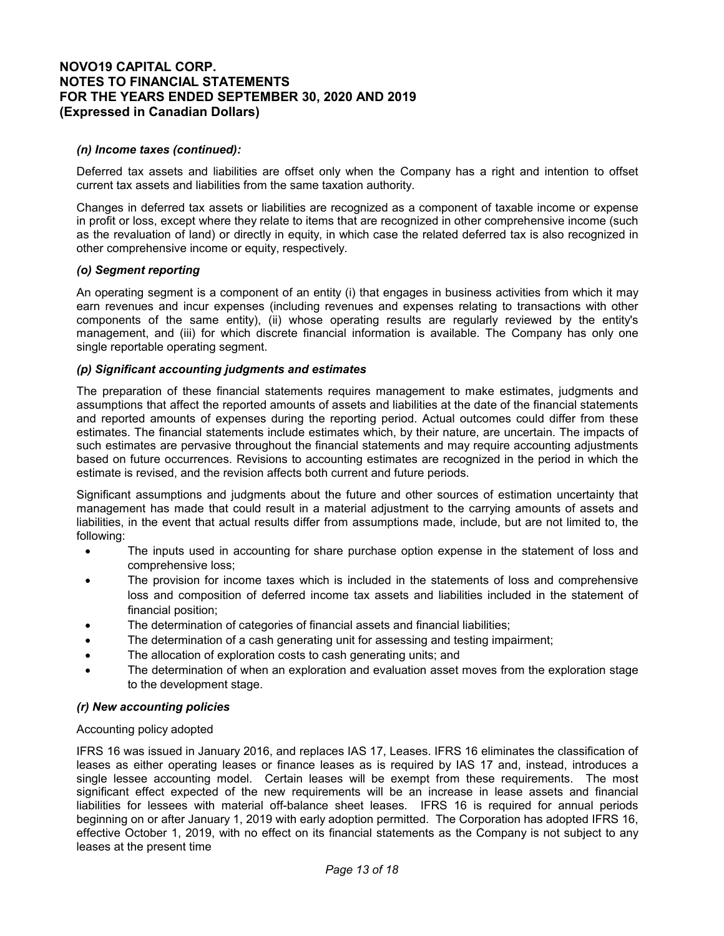### *(n) Income taxes (continued):*

Deferred tax assets and liabilities are offset only when the Company has a right and intention to offset current tax assets and liabilities from the same taxation authority.

Changes in deferred tax assets or liabilities are recognized as a component of taxable income or expense in profit or loss, except where they relate to items that are recognized in other comprehensive income (such as the revaluation of land) or directly in equity, in which case the related deferred tax is also recognized in other comprehensive income or equity, respectively.

### *(o) Segment reporting*

An operating segment is a component of an entity (i) that engages in business activities from which it may earn revenues and incur expenses (including revenues and expenses relating to transactions with other components of the same entity), (ii) whose operating results are regularly reviewed by the entity's management, and (iii) for which discrete financial information is available. The Company has only one single reportable operating segment.

### *(p) Significant accounting judgments and estimates*

The preparation of these financial statements requires management to make estimates, judgments and assumptions that affect the reported amounts of assets and liabilities at the date of the financial statements and reported amounts of expenses during the reporting period. Actual outcomes could differ from these estimates. The financial statements include estimates which, by their nature, are uncertain. The impacts of such estimates are pervasive throughout the financial statements and may require accounting adjustments based on future occurrences. Revisions to accounting estimates are recognized in the period in which the estimate is revised, and the revision affects both current and future periods.

Significant assumptions and judgments about the future and other sources of estimation uncertainty that management has made that could result in a material adjustment to the carrying amounts of assets and liabilities, in the event that actual results differ from assumptions made, include, but are not limited to, the following:

- The inputs used in accounting for share purchase option expense in the statement of loss and comprehensive loss;
- The provision for income taxes which is included in the statements of loss and comprehensive loss and composition of deferred income tax assets and liabilities included in the statement of financial position;
- The determination of categories of financial assets and financial liabilities;
- The determination of a cash generating unit for assessing and testing impairment;
- The allocation of exploration costs to cash generating units; and
- The determination of when an exploration and evaluation asset moves from the exploration stage to the development stage.

### *(r) New accounting policies*

### Accounting policy adopted

IFRS 16 was issued in January 2016, and replaces IAS 17, Leases. IFRS 16 eliminates the classification of leases as either operating leases or finance leases as is required by IAS 17 and, instead, introduces a single lessee accounting model. Certain leases will be exempt from these requirements. The most significant effect expected of the new requirements will be an increase in lease assets and financial liabilities for lessees with material off-balance sheet leases. IFRS 16 is required for annual periods beginning on or after January 1, 2019 with early adoption permitted. The Corporation has adopted IFRS 16, effective October 1, 2019, with no effect on its financial statements as the Company is not subject to any leases at the present time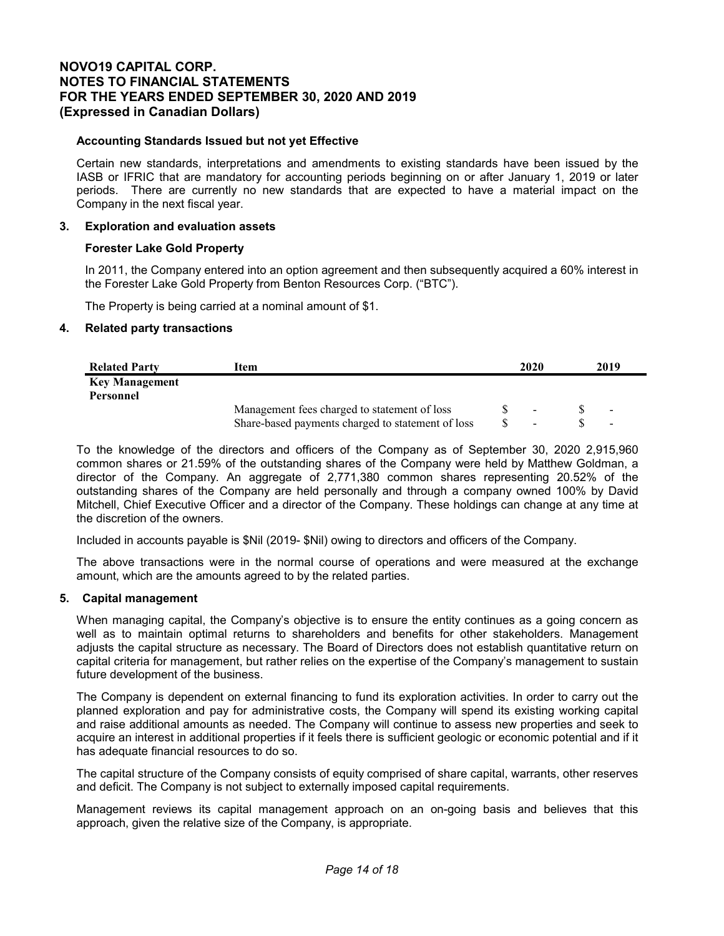### **Accounting Standards Issued but not yet Effective**

Certain new standards, interpretations and amendments to existing standards have been issued by the IASB or IFRIC that are mandatory for accounting periods beginning on or after January 1, 2019 or later periods. There are currently no new standards that are expected to have a material impact on the Company in the next fiscal year.

### **3. Exploration and evaluation assets**

### **Forester Lake Gold Property**

In 2011, the Company entered into an option agreement and then subsequently acquired a 60% interest in the Forester Lake Gold Property from Benton Resources Corp. ("BTC").

The Property is being carried at a nominal amount of \$1.

### **4. Related party transactions**

| <b>Related Party</b>  | ıtem                                              | 2020 | 2019                     |
|-----------------------|---------------------------------------------------|------|--------------------------|
| <b>Key Management</b> |                                                   |      |                          |
| Personnel             |                                                   |      |                          |
|                       | Management fees charged to statement of loss      |      | $\blacksquare$           |
|                       | Share-based payments charged to statement of loss | -    | $\overline{\phantom{a}}$ |

To the knowledge of the directors and officers of the Company as of September 30, 2020 2,915,960 common shares or 21.59% of the outstanding shares of the Company were held by Matthew Goldman, a director of the Company. An aggregate of 2,771,380 common shares representing 20.52% of the outstanding shares of the Company are held personally and through a company owned 100% by David Mitchell, Chief Executive Officer and a director of the Company. These holdings can change at any time at the discretion of the owners.

Included in accounts payable is \$Nil (2019- \$Nil) owing to directors and officers of the Company.

The above transactions were in the normal course of operations and were measured at the exchange amount, which are the amounts agreed to by the related parties.

### **5. Capital management**

When managing capital, the Company's objective is to ensure the entity continues as a going concern as well as to maintain optimal returns to shareholders and benefits for other stakeholders. Management adjusts the capital structure as necessary. The Board of Directors does not establish quantitative return on capital criteria for management, but rather relies on the expertise of the Company's management to sustain future development of the business.

The Company is dependent on external financing to fund its exploration activities. In order to carry out the planned exploration and pay for administrative costs, the Company will spend its existing working capital and raise additional amounts as needed. The Company will continue to assess new properties and seek to acquire an interest in additional properties if it feels there is sufficient geologic or economic potential and if it has adequate financial resources to do so.

The capital structure of the Company consists of equity comprised of share capital, warrants, other reserves and deficit. The Company is not subject to externally imposed capital requirements.

Management reviews its capital management approach on an on-going basis and believes that this approach, given the relative size of the Company, is appropriate.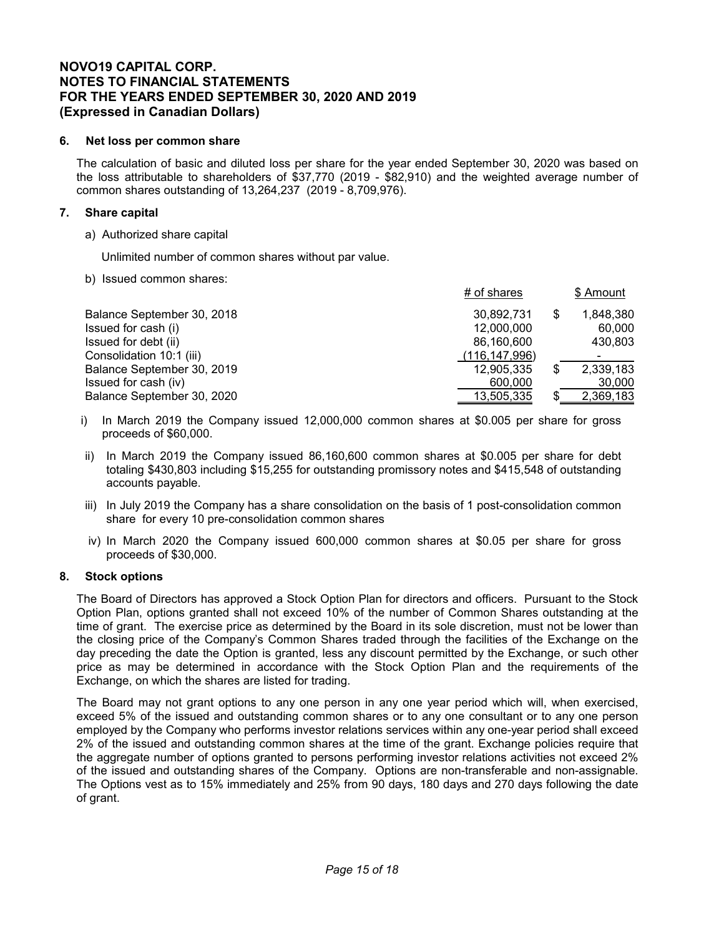### **6. Net loss per common share**

The calculation of basic and diluted loss per share for the year ended September 30, 2020 was based on the loss attributable to shareholders of \$37,770 (2019 - \$82,910) and the weighted average number of common shares outstanding of 13,264,237 (2019 - 8,709,976).

### **7. Share capital**

a) Authorized share capital

Unlimited number of common shares without par value.

b) Issued common shares:

|                            | # of shares     |     | \$ Amount |
|----------------------------|-----------------|-----|-----------|
| Balance September 30, 2018 | 30.892.731      | S   | 1.848.380 |
| Issued for cash (i)        | 12,000,000      |     | 60,000    |
| Issued for debt (ii)       | 86,160,600      |     | 430,803   |
| Consolidation 10:1 (iii)   | (116, 147, 996) |     | -         |
| Balance September 30, 2019 | 12,905,335      | \$  | 2,339,183 |
| Issued for cash (iv)       | 600,000         |     | 30,000    |
| Balance September 30, 2020 | 13,505,335      | \$. | 2,369,183 |

- i) In March 2019 the Company issued 12,000,000 common shares at \$0.005 per share for gross proceeds of \$60,000.
- ii) In March 2019 the Company issued 86,160,600 common shares at \$0.005 per share for debt totaling \$430,803 including \$15,255 for outstanding promissory notes and \$415,548 of outstanding accounts payable.
- iii) In July 2019 the Company has a share consolidation on the basis of 1 post-consolidation common share for every 10 pre-consolidation common shares
- iv) In March 2020 the Company issued 600,000 common shares at \$0.05 per share for gross proceeds of \$30,000.

### **8. Stock options**

The Board of Directors has approved a Stock Option Plan for directors and officers. Pursuant to the Stock Option Plan, options granted shall not exceed 10% of the number of Common Shares outstanding at the time of grant. The exercise price as determined by the Board in its sole discretion, must not be lower than the closing price of the Company's Common Shares traded through the facilities of the Exchange on the day preceding the date the Option is granted, less any discount permitted by the Exchange, or such other price as may be determined in accordance with the Stock Option Plan and the requirements of the Exchange, on which the shares are listed for trading.

The Board may not grant options to any one person in any one year period which will, when exercised, exceed 5% of the issued and outstanding common shares or to any one consultant or to any one person employed by the Company who performs investor relations services within any one-year period shall exceed 2% of the issued and outstanding common shares at the time of the grant. Exchange policies require that the aggregate number of options granted to persons performing investor relations activities not exceed 2% of the issued and outstanding shares of the Company. Options are non-transferable and non-assignable. The Options vest as to 15% immediately and 25% from 90 days, 180 days and 270 days following the date of grant.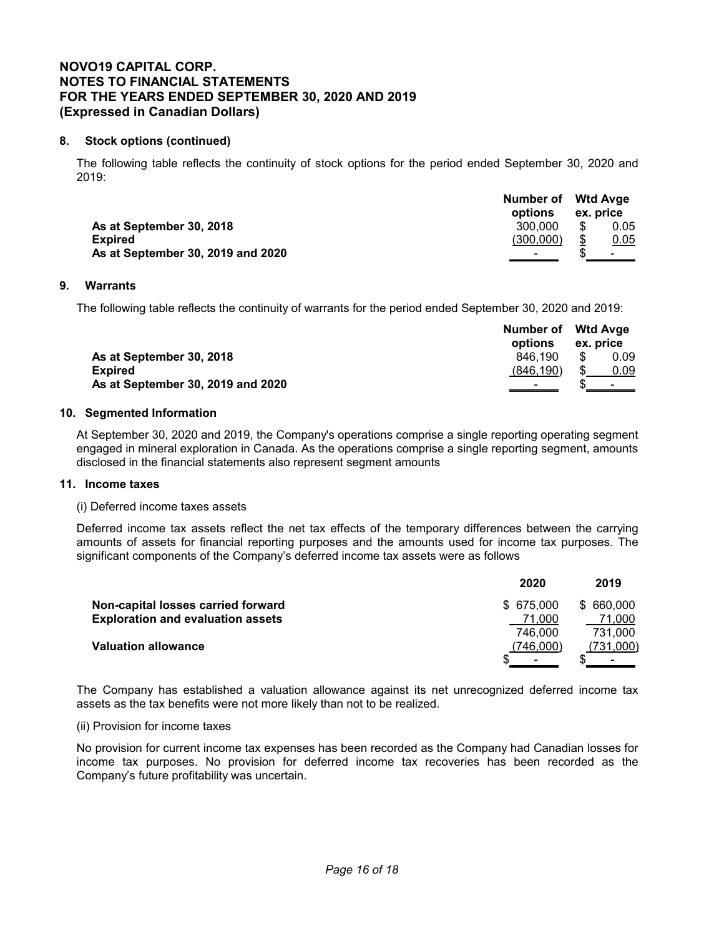# **8. Stock options (continued)**

The following table reflects the continuity of stock options for the period ended September 30, 2020 and 2019:

|                                   | Number of Wtd Avge<br>options | ex. price |                          |
|-----------------------------------|-------------------------------|-----------|--------------------------|
| As at September 30, 2018          | 300.000                       |           | 0.05                     |
| <b>Expired</b>                    | (300.000)                     |           | 0.05                     |
| As at September 30, 2019 and 2020 |                               |           | <b>Contract Contract</b> |

### **9. Warrants**

The following table reflects the continuity of warrants for the period ended September 30, 2020 and 2019:

|                                   | Number of Wtd Avge<br>options | ex. price |                |
|-----------------------------------|-------------------------------|-----------|----------------|
| As at September 30, 2018          | 846.190                       |           | 0.09           |
| <b>Expired</b>                    | (846.190)                     |           | 0.09           |
| As at September 30, 2019 and 2020 |                               |           | the control of |

### **10. Segmented Information**

At September 30, 2020 and 2019, the Company's operations comprise a single reporting operating segment engaged in mineral exploration in Canada. As the operations comprise a single reporting segment, amounts disclosed in the financial statements also represent segment amounts

### **11. Income taxes**

(i) Deferred income taxes assets

Deferred income tax assets reflect the net tax effects of the temporary differences between the carrying amounts of assets for financial reporting purposes and the amounts used for income tax purposes. The significant components of the Company's deferred income tax assets were as follows

| 2020       | 2019      |
|------------|-----------|
| \$ 675,000 | \$660,000 |
| 71.000     | 71,000    |
| 746.000    | 731.000   |
| (746.000)  | (731,000) |
|            |           |
|            |           |

The Company has established a valuation allowance against its net unrecognized deferred income tax assets as the tax benefits were not more likely than not to be realized.

### (ii) Provision for income taxes

No provision for current income tax expenses has been recorded as the Company had Canadian losses for income tax purposes. No provision for deferred income tax recoveries has been recorded as the Company's future profitability was uncertain.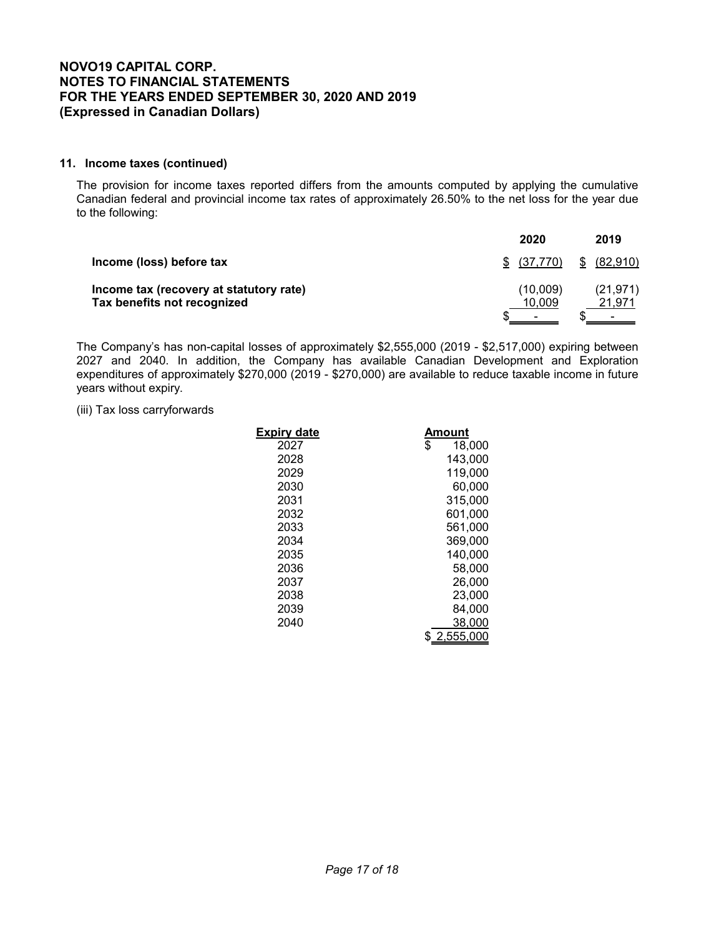### **11. Income taxes (continued)**

The provision for income taxes reported differs from the amounts computed by applying the cumulative Canadian federal and provincial income tax rates of approximately 26.50% to the net loss for the year due to the following:

|                                                                        | 2020               | 2019                     |
|------------------------------------------------------------------------|--------------------|--------------------------|
| Income (loss) before tax                                               | \$ (37,770)        | (82,910)<br>S.           |
| Income tax (recovery at statutory rate)<br>Tax benefits not recognized | (10,009)<br>10,009 | (21, 971)<br>21,971<br>- |

The Company's has non-capital losses of approximately \$2,555,000 (2019 - \$2,517,000) expiring between 2027 and 2040. In addition, the Company has available Canadian Development and Exploration expenditures of approximately \$270,000 (2019 - \$270,000) are available to reduce taxable income in future years without expiry.

### (iii) Tax loss carryforwards

| <b>Expiry date</b> | Amount       |
|--------------------|--------------|
| 2027               | \$<br>18,000 |
| 2028               | 143.000      |
| 2029               | 119,000      |
| 2030               | 60.000       |
| 2031               | 315.000      |
| 2032               | 601,000      |
| 2033               | 561,000      |
| 2034               | 369,000      |
| 2035               | 140,000      |
| 2036               | 58,000       |
| 2037               | 26,000       |
| 2038               | 23,000       |
| 2039               | 84,000       |
| 2040               | 38,000       |
|                    | 2,555,000    |